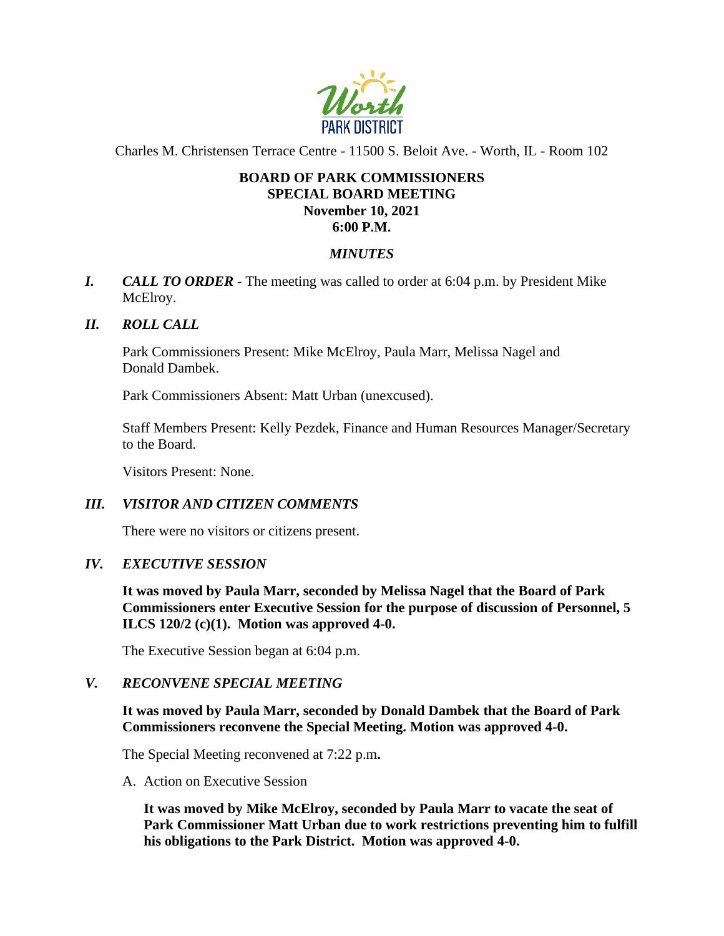

Charles M. Christensen Terrace Centre - 11500 S. Beloit Ave. - Worth, IL - Room 102

# **BOARD OF PARK COMMISSIONERS SPECIAL BOARD MEETING November 10, 2021 6:00 P.M.**

## *MINUTES*

*I. CALL TO ORDER* - The meeting was called to order at 6:04 p.m. by President Mike McElroy.

## *II. ROLL CALL*

Park Commissioners Present: Mike McElroy, Paula Marr, Melissa Nagel and Donald Dambek.

Park Commissioners Absent: Matt Urban (unexcused).

Staff Members Present: Kelly Pezdek, Finance and Human Resources Manager/Secretary to the Board.

Visitors Present: None.

## *III. VISITOR AND CITIZEN COMMENTS*

There were no visitors or citizens present.

#### *IV. EXECUTIVE SESSION*

**It was moved by Paula Marr, seconded by Melissa Nagel that the Board of Park Commissioners enter Executive Session for the purpose of discussion of Personnel, 5 ILCS 120/2 (c)(1). Motion was approved 4-0.**

The Executive Session began at 6:04 p.m.

#### *V. RECONVENE SPECIAL MEETING*

**It was moved by Paula Marr, seconded by Donald Dambek that the Board of Park Commissioners reconvene the Special Meeting. Motion was approved 4-0.**

The Special Meeting reconvened at 7:22 p.m**.**

A. Action on Executive Session

**It was moved by Mike McElroy, seconded by Paula Marr to vacate the seat of Park Commissioner Matt Urban due to work restrictions preventing him to fulfill his obligations to the Park District. Motion was approved 4-0.**